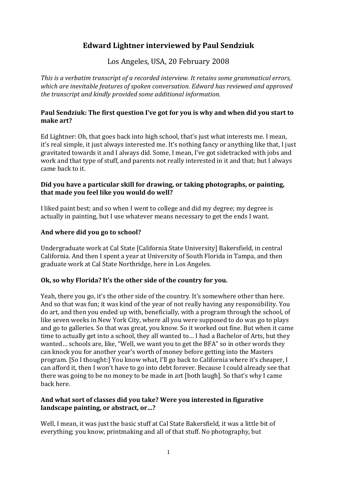# **Edward Lightner interviewed by Paul Sendziuk**

Los Angeles, USA, 20 February 2008

*This is a verbatim transcript of a recorded interview. It retains some grammatical errors, which are inevitable features of spoken conversation. Edward has reviewed and approved the transcript and kindly provided some additional information.*

## **Paul Sendziuk: The first question I've got for you is why and when did you start to make art?**

Ed Lightner: Oh, that goes back into high school, that's just what interests me. I mean, it's real simple, it just always interested me. It's nothing fancy or anything like that, I just gravitated towards it and I always did. Some, I mean, I've got sidetracked with jobs and work and that type of stuff, and parents not really interested in it and that; but I always came back to it.

## **Did you have a particular skill for drawing, or taking photographs, or painting, that made you feel like you would do well?**

I liked paint best; and so when I went to college and did my degree; my degree is actually in painting, but I use whatever means necessary to get the ends I want.

## **And where did you go to school?**

Undergraduate work at Cal State [California State University] Bakersfield, in central California. And then I spent a year at University of South Florida in Tampa, and then graduate work at Cal State Northridge, here in Los Angeles.

## **Ok, so why Florida? It's the other side of the country for you.**

Yeah, there you go, it's the other side of the country. It's somewhere other than here. And so that was fun; it was kind of the year of not really having any responsibility. You do art, and then you ended up with, beneficially, with a program through the school, of like seven weeks in New York City, where all you were supposed to do was go to plays and go to galleries. So that was great, you know. So it worked out fine. But when it came time to actually get into a school, they all wanted to… I had a Bachelor of Arts, but they wanted… schools are, like, "Well, we want you to get the BFA" so in other words they can knock you for another year's worth of money before getting into the Masters program. [So I thought:] You know what, I'll go back to California where it's cheaper, I can afford it, then I won't have to go into debt forever. Because I could already see that there was going to be no money to be made in art [both laugh]. So that's why I came back here.

## **And what sort of classes did you take? Were you interested in figurative landscape painting, or abstract, or…?**

Well, I mean, it was just the basic stuff at Cal State Bakersfield, it was a little bit of everything; you know, printmaking and all of that stuff. No photography, but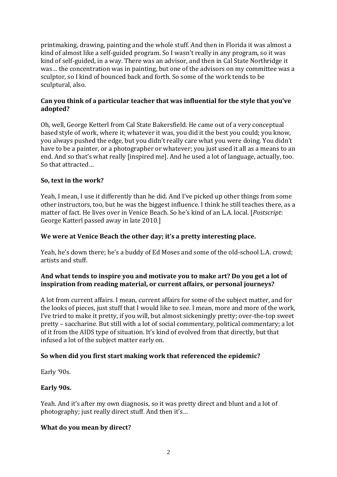printmaking, drawing, painting and the whole stuff. And then in Florida it was almost a kind of almost like a self-guided program. So I wasn't really in any program, so it was kind of self-guided, in a way. There was an advisor, and then in Cal State Northridge it was… the concentration was in painting, but one of the advisors on my committee was a sculptor, so I kind of bounced back and forth. So some of the work tends to be sculptural, also.

## **Can you think of a particular teacher that was influential for the style that you've adopted?**

Oh, well, George Ketterl from Cal State Bakersfield. He came out of a very conceptual based style of work, where it; whatever it was, you did it the best you could; you know, you always pushed the edge, but you didn't really care what you were doing. You didn't have to be a painter, or a photographer or whatever; you just used it all as a means to an end. And so that's what really [inspired me]. And he used a lot of language, actually, too. So that attracted…

## **So, text in the work?**

Yeah, I mean, I use it differently than he did. And I've picked up other things from some other instructors, too, but he was the biggest influence. I think he still teaches there, as a matter of fact. He lives over in Venice Beach. So he's kind of an L.A. local. [*Postscript*: George Katterl passed away in late 2010.]

#### **We were at Venice Beach the other day; it's a pretty interesting place.**

Yeah, he's down there; he's a buddy of Ed Moses and some of the old-school L.A. crowd; artists and stuff.

## **And what tends to inspire you and motivate you to make art? Do you get a lot of inspiration from reading material, or current affairs, or personal journeys?**

A lot from current affairs. I mean, current affairs for some of the subject matter, and for the looks of pieces, just stuff that I would like to see. I mean, more and more of the work, I've tried to make it pretty, if you will, but almost sickeningly pretty; over-the-top sweet pretty – saccharine. But still with a lot of social commentary, political commentary; a lot of it from the AIDS type of situation. It's kind of evolved from that directly, but that infused a lot of the subject matter early on.

## **So when did you first start making work that referenced the epidemic?**

Early '90s.

## **Early 90s.**

Yeah. And it's after my own diagnosis, so it was pretty direct and blunt and a lot of photography; just really direct stuff. And then it's…

#### **What do you mean by direct?**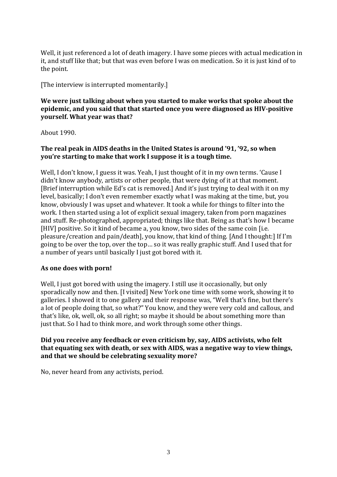Well, it just referenced a lot of death imagery. I have some pieces with actual medication in it, and stuff like that; but that was even before I was on medication. So it is just kind of to the point.

[The interview is interrupted momentarily.]

#### **We were just talking about when you started to make works that spoke about the epidemic, and you said that that started once you were diagnosed as HIV-positive yourself. What year was that?**

About 1990.

## **The real peak in AIDS deaths in the United States is around '91, '92, so when you're starting to make that work I suppose it is a tough time.**

Well, I don't know, I guess it was. Yeah, I just thought of it in my own terms. 'Cause I didn't know anybody, artists or other people, that were dying of it at that moment. [Brief interruption while Ed's cat is removed.] And it's just trying to deal with it on my level, basically; I don't even remember exactly what I was making at the time, but, you know, obviously I was upset and whatever. It took a while for things to filter into the work. I then started using a lot of explicit sexual imagery, taken from porn magazines and stuff. Re-photographed, appropriated; things like that. Being as that's how I became [HIV] positive. So it kind of became a, you know, two sides of the same coin [i.e. pleasure/creation and pain/death], you know, that kind of thing. [And I thought:] If I'm going to be over the top, over the top… so it was really graphic stuff. And I used that for a number of years until basically I just got bored with it.

#### **As one does with porn!**

Well. I just got bored with using the imagery. I still use it occasionally, but only sporadically now and then. [I visited] New York one time with some work, showing it to galleries. I showed it to one gallery and their response was, "Well that's fine, but there's a lot of people doing that, so what?" You know, and they were very cold and callous, and that's like, ok, well, ok, so all right; so maybe it should be about something more than just that. So I had to think more, and work through some other things.

**Did you receive any feedback or even criticism by, say, AIDS activists, who felt that equating sex with death, or sex with AIDS, was a negative way to view things, and that we should be celebrating sexuality more?**

No, never heard from any activists, period.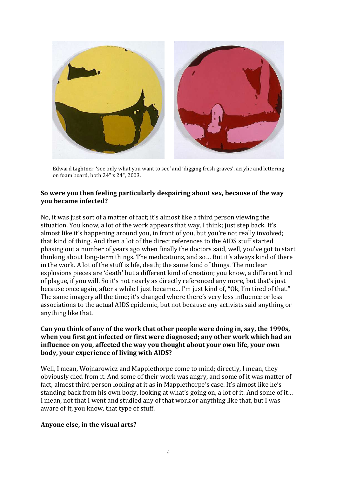

Edward Lightner, 'see only what you want to see' and 'digging fresh graves', acrylic and lettering on foam board, both 24" x 24", 2003.

#### **So were you then feeling particularly despairing about sex, because of the way you became infected?**

No, it was just sort of a matter of fact; it's almost like a third person viewing the situation. You know, a lot of the work appears that way, I think; just step back. It's almost like it's happening around you, in front of you, but you're not really involved; that kind of thing. And then a lot of the direct references to the AIDS stuff started phasing out a number of years ago when finally the doctors said, well, you've got to start thinking about long-term things. The medications, and so… But it's always kind of there in the work. A lot of the stuff is life, death; the same kind of things. The nuclear explosions pieces are 'death' but a different kind of creation; you know, a different kind of plague, if you will. So it's not nearly as directly referenced any more, but that's just because once again, after a while I just became… I'm just kind of, "Ok, I'm tired of that." The same imagery all the time; it's changed where there's very less influence or less associations to the actual AIDS epidemic, but not because any activists said anything or anything like that.

## **Can you think of any of the work that other people were doing in, say, the 1990s, when you first got infected or first were diagnosed; any other work which had an influence on you, affected the way you thought about your own life, your own body, your experience of living with AIDS?**

Well, I mean, Wojnarowicz and Mapplethorpe come to mind; directly, I mean, they obviously died from it. And some of their work was angry, and some of it was matter of fact, almost third person looking at it as in Mapplethorpe's case. It's almost like he's standing back from his own body, looking at what's going on, a lot of it. And some of it… I mean, not that I went and studied any of that work or anything like that, but I was aware of it, you know, that type of stuff.

#### **Anyone else, in the visual arts?**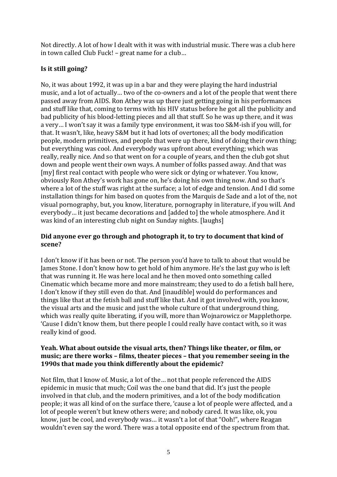Not directly. A lot of how I dealt with it was with industrial music. There was a club here in town called Club Fuck! – great name for a club…

## **Is it still going?**

No, it was about 1992, it was up in a bar and they were playing the hard industrial music, and a lot of actually… two of the co-owners and a lot of the people that went there passed away from AIDS. Ron Athey was up there just getting going in his performances and stuff like that, coming to terms with his HIV status before he got all the publicity and bad publicity of his blood-letting pieces and all that stuff. So he was up there, and it was a very… I won't say it was a family type environment, it was too S&M-ish if you will, for that. It wasn't, like, heavy S&M but it had lots of overtones; all the body modification people, modern primitives, and people that were up there, kind of doing their own thing; but everything was cool. And everybody was upfront about everything; which was really, really nice. And so that went on for a couple of years, and then the club got shut down and people went their own ways. A number of folks passed away. And that was [my] first real contact with people who were sick or dying or whatever. You know, obviously Ron Athey's work has gone on, he's doing his own thing now. And so that's where a lot of the stuff was right at the surface; a lot of edge and tension. And I did some installation things for him based on quotes from the Marquis de Sade and a lot of the, not visual pornography, but, you know, literature, pornography in literature, if you will. And everybody… it just became decorations and [added to] the whole atmosphere. And it was kind of an interesting club night on Sunday nights. [laughs]

## **Did anyone ever go through and photograph it, to try to document that kind of scene?**

I don't know if it has been or not. The person you'd have to talk to about that would be James Stone. I don't know how to get hold of him anymore. He's the last guy who is left that was running it. He was here local and he then moved onto something called Cinematic which became more and more mainstream; they used to do a fetish ball here, I don't know if they still even do that. And [inaudible] would do performances and things like that at the fetish ball and stuff like that. And it got involved with, you know, the visual arts and the music and just the whole culture of that underground thing, which was really quite liberating, if you will, more than Wojnarowicz or Mapplethorpe. 'Cause I didn't know them, but there people I could really have contact with, so it was really kind of good.

## **Yeah. What about outside the visual arts, then? Things like theater, or film, or music; are there works – films, theater pieces – that you remember seeing in the 1990s that made you think differently about the epidemic?**

Not film, that I know of. Music, a lot of the… not that people referenced the AIDS epidemic in music that much; Coil was the one band that did. It's just the people involved in that club, and the modern primitives, and a lot of the body modification people; it was all kind of on the surface there, 'cause a lot of people were affected, and a lot of people weren't but knew others were; and nobody cared. It was like, ok, you know, just be cool, and everybody was… it wasn't a lot of that "Ooh!", where Reagan wouldn't even say the word. There was a total opposite end of the spectrum from that.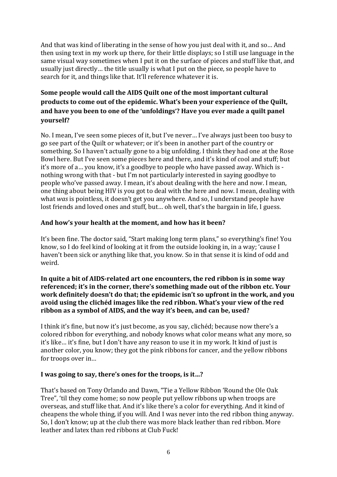And that was kind of liberating in the sense of how you just deal with it, and so… And then using text in my work up there, for their little displays; so I still use language in the same visual way sometimes when I put it on the surface of pieces and stuff like that, and usually just directly… the title usually is what I put on the piece, so people have to search for it, and things like that. It'll reference whatever it is.

## **Some people would call the AIDS Quilt one of the most important cultural products to come out of the epidemic. What's been your experience of the Quilt, and have you been to one of the 'unfoldings'? Have you ever made a quilt panel yourself?**

No. I mean, I've seen some pieces of it, but I've never… I've always just been too busy to go see part of the Quilt or whatever; or it's been in another part of the country or something. So I haven't actually gone to a big unfolding. I think they had one at the Rose Bowl here. But I've seen some pieces here and there, and it's kind of cool and stuff; but it's more of a… you know, it's a goodbye to people who have passed away. Which is nothing wrong with that - but I'm not particularly interested in saying goodbye to people who've passed away. I mean, it's about dealing with the here and now. I mean, one thing about being HIV is you got to deal with the here and now. I mean, dealing with what *was* is pointless, it doesn't get you anywhere. And so, I understand people have lost friends and loved ones and stuff, but… oh well, that's the bargain in life, I guess.

## **And how's your health at the moment, and how has it been?**

It's been fine. The doctor said, "Start making long term plans," so everything's fine! You know, so I do feel kind of looking at it from the outside looking in, in a way; 'cause I haven't been sick or anything like that, you know. So in that sense it is kind of odd and weird.

#### **In quite a bit of AIDS-related art one encounters, the red ribbon is in some way referenced; it's in the corner, there's something made out of the ribbon etc. Your work definitely doesn't do that; the epidemic isn't so upfront in the work, and you avoid using the clichéd images like the red ribbon. What's your view of the red ribbon as a symbol of AIDS, and the way it's been, and can be, used?**

I think it's fine, but now it's just become, as you say, clichéd; because now there's a colored ribbon for everything, and nobody knows what color means what any more, so it's like… it's fine, but I don't have any reason to use it in my work. It kind of just is another color, you know; they got the pink ribbons for cancer, and the yellow ribbons for troops over in…

## **I was going to say, there's ones for the troops, is it…?**

That's based on Tony Orlando and Dawn, "Tie a Yellow Ribbon 'Round the Ole Oak Tree", 'til they come home; so now people put yellow ribbons up when troops are overseas, and stuff like that. And it's like there's a color for everything. And it kind of cheapens the whole thing, if you will. And I was never into the red ribbon thing anyway. So, I don't know; up at the club there was more black leather than red ribbon. More leather and latex than red ribbons at Club Fuck!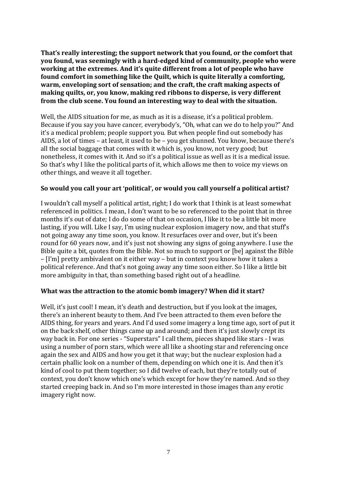**That's really interesting; the support network that you found, or the comfort that you found, was seemingly with a hard-edged kind of community, people who were working at the extremes. And it's quite different from a lot of people who have found comfort in something like the Quilt, which is quite literally a comforting, warm, enveloping sort of sensation; and the craft, the craft making aspects of making quilts, or, you know, making red ribbons to disperse, is very different from the club scene. You found an interesting way to deal with the situation.**

Well, the AIDS situation for me, as much as it is a disease, it's a political problem. Because if you say you have cancer, everybody's, "Oh, what can we do to help you?" And it's a medical problem; people support you. But when people find out somebody has AIDS, a lot of times – at least, it used to be – you get shunned. You know, because there's all the social baggage that comes with it which is, you know, not very good; but nonetheless, it comes with it. And so it's a political issue as well as it is a medical issue. So that's why I like the political parts of it, which allows me then to voice my views on other things, and weave it all together.

#### **So would you call your art 'political', or would you call yourself a political artist?**

I wouldn't call myself a political artist, right; I do work that I think is at least somewhat referenced in politics. I mean, I don't want to be so referenced to the point that in three months it's out of date; I do do some of that on occasion, I like it to be a little bit more lasting, if you will. Like I say, I'm using nuclear explosion imagery now, and that stuff's not going away any time soon, you know. It resurfaces over and over, but it's been round for 60 years now, and it's just not showing any signs of going anywhere. I use the Bible quite a bit, quotes from the Bible. Not so much to support or [be] against the Bible – [I'm] pretty ambivalent on it either way – but in context you know how it takes a political reference. And that's not going away any time soon either. So I like a little bit more ambiguity in that, than something based right out of a headline.

#### **What was the attraction to the atomic bomb imagery? When did it start?**

Well, it's just cool! I mean, it's death and destruction, but if you look at the images, there's an inherent beauty to them. And I've been attracted to them even before the AIDS thing, for years and years. And I'd used some imagery a long time ago, sort of put it on the back shelf, other things came up and around; and then it's just slowly crept its way back in. For one series - "Superstars" I call them, pieces shaped like stars - I was using a number of porn stars, which were all like a shooting star and referencing once again the sex and AIDS and how you get it that way; but the nuclear explosion had a certain phallic look on a number of them, depending on which one it is. And then it's kind of cool to put them together; so I did twelve of each, but they're totally out of context, you don't know which one's which except for how they're named. And so they started creeping back in. And so I'm more interested in those images than any erotic imagery right now.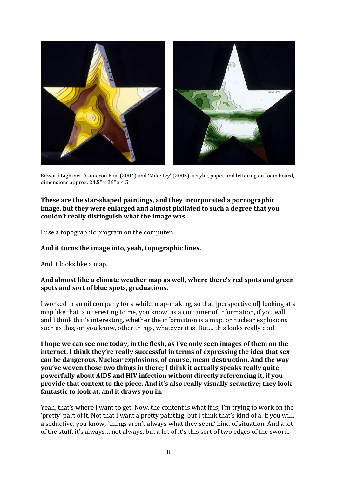

Edward Lightner, 'Cameron Fox' (2004) and 'Mike Ivy' (2005), acrylic, paper and lettering on foam board, dimensions approx. 24.5" x 26" x 4.5".

## **These are the star-shaped paintings, and they incorporated a pornographic image, but they were enlarged and almost pixilated to such a degree that you couldn't really distinguish what the image was…**

I use a topographic program on the computer.

#### **And it turns the image into, yeah, topographic lines.**

And it looks like a map.

#### **And almost like a climate weather map as well, where there's red spots and green spots and sort of blue spots, graduations.**

I worked in an oil company for a while, map-making, so that [perspective of] looking at a map like that is interesting to me, you know, as a container of information, if you will; and I think that's interesting, whether the information is a map, or nuclear explosions such as this, or, you know, other things, whatever it is. But… this looks really cool.

**I hope we can see one today, in the flesh, as I've only seen images of them on the internet. I think they're really successful in terms of expressing the idea that sex can be dangerous. Nuclear explosions, of course, mean destruction. And the way you've woven those two things in there; I think it actually speaks really quite powerfully about AIDS and HIV infection without directly referencing it, if you provide that context to the piece. And it's also really visually seductive; they look fantastic to look at, and it draws you in.**

Yeah, that's where I want to get. Now, the content is what it is; I'm trying to work on the 'pretty' part of it. Not that I want a pretty painting, but I think that's kind of a, if you will, a seductive, you know, 'things aren't always what they seem' kind of situation. And a lot of the stuff, it's always… not always, but a lot of it's this sort of two edges of the sword,